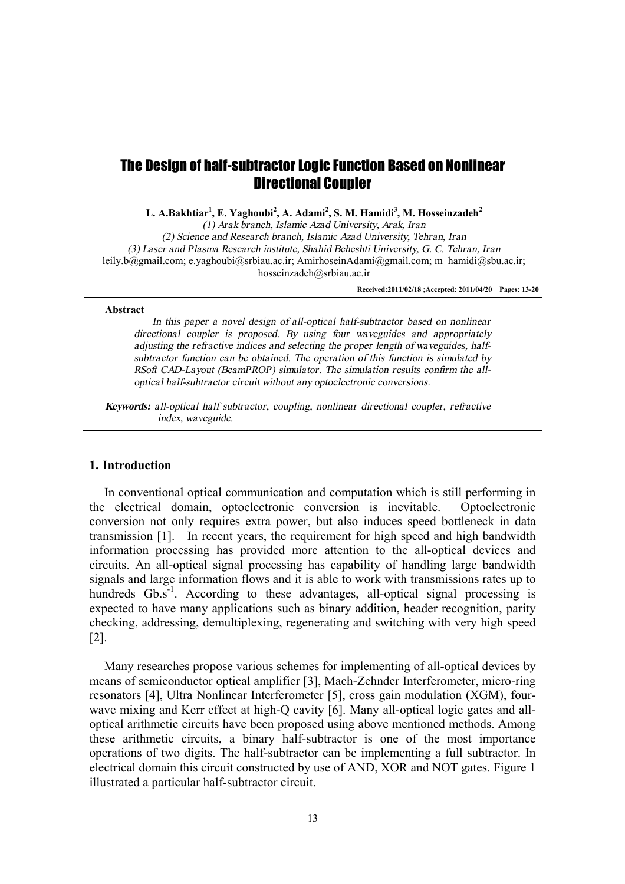# The Design of half-subtractor Logic Function Based on Nonlinear Directional Coupler

**L. A.Bakhtiar<sup>1</sup> , E. Yaghoubi<sup>2</sup> , A. Adami<sup>2</sup> , S. M. Hamidi<sup>3</sup> , M. Hosseinzadeh<sup>2</sup>**

*(1) Arak branch, Islamic Azad University, Arak, Iran (2) Science and Research branch, Islamic Azad University, Tehran, Iran (3) Laser and Plasma Research institute, Shahid Beheshti University, G. C. Tehran, Iran*  leily.b@gmail.com; e.yaghoubi@srbiau.ac.ir; AmirhoseinAdami@gmail.com; m\_hamidi@sbu.ac.ir; hosseinzadeh@srbiau.ac.ir

**Received:2011/02/18 ;Accepted: 2011/04/20 Pages: 13-20** 

#### **Abstract**

*In this paper <sup>a</sup> novel design of all-optical half-subtractor based on nonlinear directional coupler is proposed. By using four waveguides and appropriately adjusting the refractive indices and selecting the proper length of waveguides, halfsubtractor function can be obtained. The operation of this function is simulated by RSoft CAD-Layout (BeamPROP) simulator. The simulation results confirm the alloptical half-subtractor circuit without any optoelectronic conversions.* 

*Keywords: all-optical half subtractor, coupling, nonlinear directional coupler, refractive index, waveguide.* 

## **1. Introduction**

In conventional optical communication and computation which is still performing in the electrical domain, optoelectronic conversion is inevitable. Optoelectronic conversion not only requires extra power, but also induces speed bottleneck in data transmission [1]. In recent years, the requirement for high speed and high bandwidth information processing has provided more attention to the all-optical devices and circuits. An all-optical signal processing has capability of handling large bandwidth signals and large information flows and it is able to work with transmissions rates up to hundreds  $Gb.s^{-1}$ . According to these advantages, all-optical signal processing is expected to have many applications such as binary addition, header recognition, parity checking, addressing, demultiplexing, regenerating and switching with very high speed [2].

Many researches propose various schemes for implementing of all-optical devices by means of semiconductor optical amplifier [3], Mach-Zehnder Interferometer, micro-ring resonators [4], Ultra Nonlinear Interferometer [5], cross gain modulation (XGM), fourwave mixing and Kerr effect at high-Q cavity [6]. Many all-optical logic gates and alloptical arithmetic circuits have been proposed using above mentioned methods. Among these arithmetic circuits, a binary half-subtractor is one of the most importance operations of two digits. The half-subtractor can be implementing a full subtractor. In electrical domain this circuit constructed by use of AND, XOR and NOT gates. Figure 1 illustrated a particular half-subtractor circuit.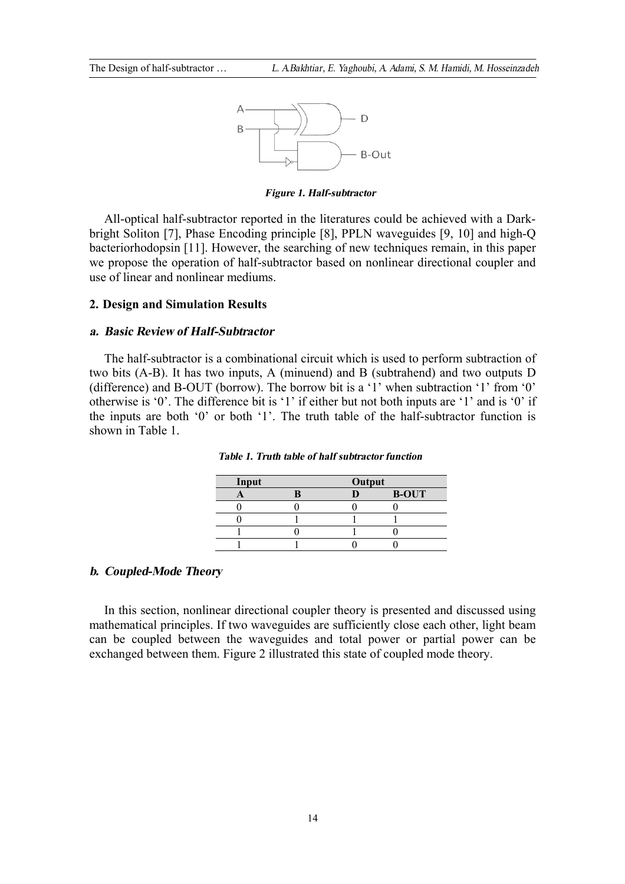

*Figure 1. Half-subtractor* 

All-optical half-subtractor reported in the literatures could be achieved with a Darkbright Soliton [7], Phase Encoding principle [8], PPLN waveguides [9, 10] and high-Q bacteriorhodopsin [11]. However, the searching of new techniques remain, in this paper we propose the operation of half-subtractor based on nonlinear directional coupler and use of linear and nonlinear mediums.

# **2. Design and Simulation Results**

#### *a. Basic Review of Half-Subtractor*

The half-subtractor is a combinational circuit which is used to perform subtraction of two bits (A-B). It has two inputs, A (minuend) and B (subtrahend) and two outputs D (difference) and B-OUT (borrow). The borrow bit is a '1' when subtraction '1' from '0' otherwise is '0'. The difference bit is '1' if either but not both inputs are '1' and is '0' if the inputs are both '0' or both '1'. The truth table of the half-subtractor function is shown in Table 1.

| Input |  | Output |              |
|-------|--|--------|--------------|
|       |  |        | <b>B-OUT</b> |
|       |  |        |              |
|       |  |        |              |
|       |  |        |              |
|       |  |        |              |

*Table 1. Truth table of half subtractor function* 

### *b. Coupled-Mode Theory*

In this section, nonlinear directional coupler theory is presented and discussed using mathematical principles. If two waveguides are sufficiently close each other, light beam can be coupled between the waveguides and total power or partial power can be exchanged between them. Figure 2 illustrated this state of coupled mode theory.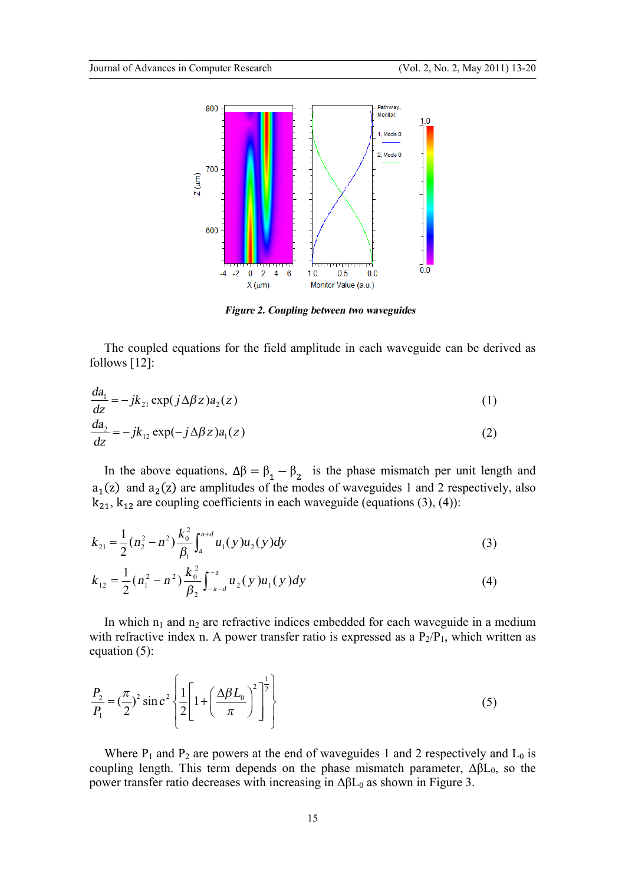

*Figure 2. Coupling between two waveguides* 

The coupled equations for the field amplitude in each waveguide can be derived as follows [12]:

$$
\frac{da_1}{dz} = -jk_{21} \exp(j\Delta\beta z)a_2(z)
$$
\n
$$
\frac{da_2}{dz} = -jk_{12} \exp(-j\Delta\beta z)a_1(z)
$$
\n(1)\n(2)

In the above equations,  $\Delta \beta = \beta_1 - \beta_2$  is the phase mismatch per unit length and  $a_1(z)$  and  $a_2(z)$  are amplitudes of the modes of waveguides 1 and 2 respectively, also  $k_{21}$ ,  $k_{12}$  are coupling coefficients in each waveguide (equations (3), (4)):

$$
k_{21} = \frac{1}{2} (n_2^2 - n^2) \frac{k_0^2}{\beta_1} \int_a^{a+d} u_1(y) u_2(y) dy
$$
 (3)

$$
k_{12} = \frac{1}{2} (n_1^2 - n^2) \frac{k_0^2}{\beta_2} \int_{-a-d}^{-a} u_2(y) u_1(y) dy
$$
 (4)

In which  $n_1$  and  $n_2$  are refractive indices embedded for each waveguide in a medium with refractive index n. A power transfer ratio is expressed as a  $P_2/P_1$ , which written as equation (5):

$$
\frac{P_2}{P_1} = \left(\frac{\pi}{2}\right)^2 \sin c^2 \left\{ \frac{1}{2} \left[ 1 + \left(\frac{\Delta \beta L_0}{\pi}\right)^2 \right]^{\frac{1}{2}} \right\} \tag{5}
$$

Where  $P_1$  and  $P_2$  are powers at the end of waveguides 1 and 2 respectively and  $L_0$  is coupling length. This term depends on the phase mismatch parameter,  $\Delta \beta L_0$ , so the power transfer ratio decreases with increasing in  $ΔβL<sub>0</sub>$  as shown in Figure 3.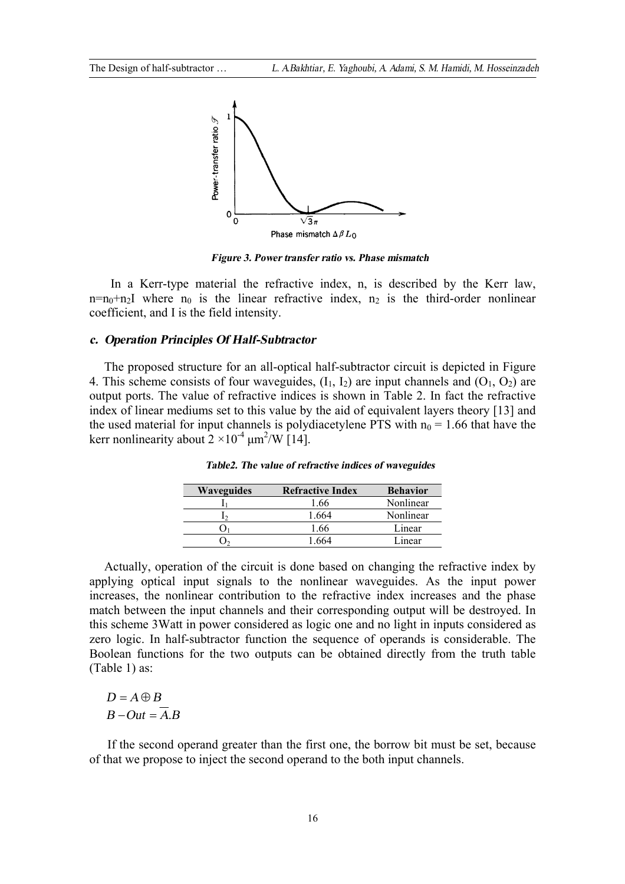

*Figure 3. Power transfer ratio vs. Phase mismatch* 

 In a Kerr-type material the refractive index, n, is described by the Kerr law,  $n=n_0+n_2$ I where  $n_0$  is the linear refractive index,  $n_2$  is the third-order nonlinear coefficient, and I is the field intensity.

#### *c. Operation Principles Of Half-Subtractor*

The proposed structure for an all-optical half-subtractor circuit is depicted in Figure 4. This scheme consists of four waveguides,  $(I_1, I_2)$  are input channels and  $(O_1, O_2)$  are output ports. The value of refractive indices is shown in Table 2. In fact the refractive index of linear mediums set to this value by the aid of equivalent layers theory [13] and the used material for input channels is polydiacetylene PTS with  $n_0 = 1.66$  that have the kerr nonlinearity about  $2 \times 10^{-4}$   $\mu$ m<sup>2</sup>/W [14].

| <b>Waveguides</b> | <b>Refractive Index</b> | <b>Behavior</b> |
|-------------------|-------------------------|-----------------|
|                   | 1.66                    | Nonlinear       |
|                   | 1.664                   | Nonlinear       |
|                   | 1.66                    | Linear          |
|                   | 664                     | Linear          |

*Table2. The value of refractive indices of waveguides* 

Actually, operation of the circuit is done based on changing the refractive index by applying optical input signals to the nonlinear waveguides. As the input power increases, the nonlinear contribution to the refractive index increases and the phase match between the input channels and their corresponding output will be destroyed. In this scheme 3Watt in power considered as logic one and no light in inputs considered as zero logic. In half-subtractor function the sequence of operands is considerable. The Boolean functions for the two outputs can be obtained directly from the truth table (Table 1) as:

 $D = A \oplus B$  $B - Out = \overline{A}$ 

 If the second operand greater than the first one, the borrow bit must be set, because of that we propose to inject the second operand to the both input channels.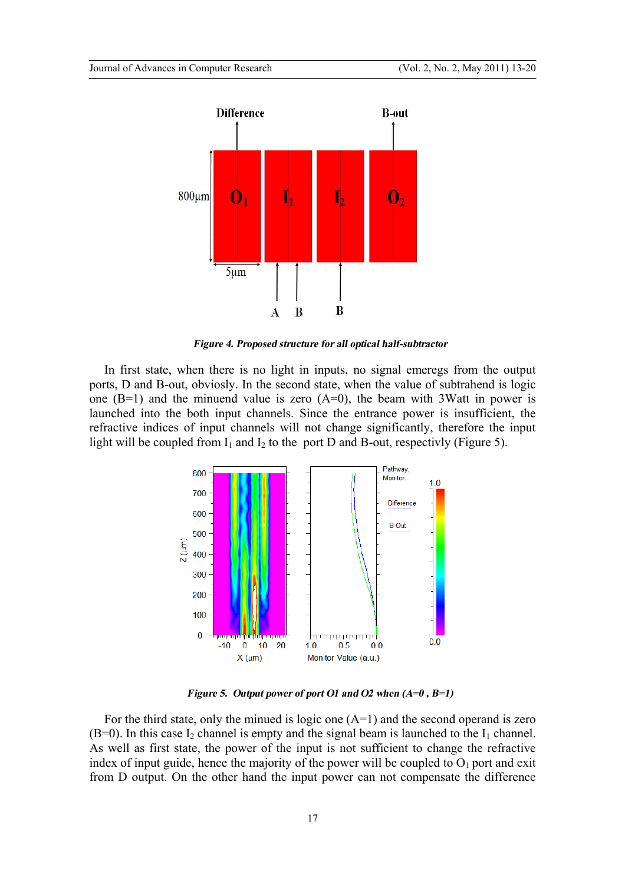

*Figure 4. Proposed structure for all optical half-subtractor* 

In first state, when there is no light in inputs, no signal emeregs from the output ports, D and B-out, obviosly. In the second state, when the value of subtrahend is logic one  $(B=1)$  and the minuend value is zero  $(A=0)$ , the beam with 3Watt in power is launched into the both input channels. Since the entrance power is insufficient, the refractive indices of input channels will not change significantly, therefore the input light will be coupled from  $I_1$  and  $I_2$  to the port D and B-out, respectivly (Figure 5).



*Figure 5. Output power of port O1 and O2 when (A=0 , B=1)* 

For the third state, only the minued is logic one  $(A=1)$  and the second operand is zero  $(B=0)$ . In this case I<sub>2</sub> channel is empty and the signal beam is launched to the I<sub>1</sub> channel. As well as first state, the power of the input is not sufficient to change the refractive index of input guide, hence the majority of the power will be coupled to  $O_1$  port and exit from D output. On the other hand the input power can not compensate the difference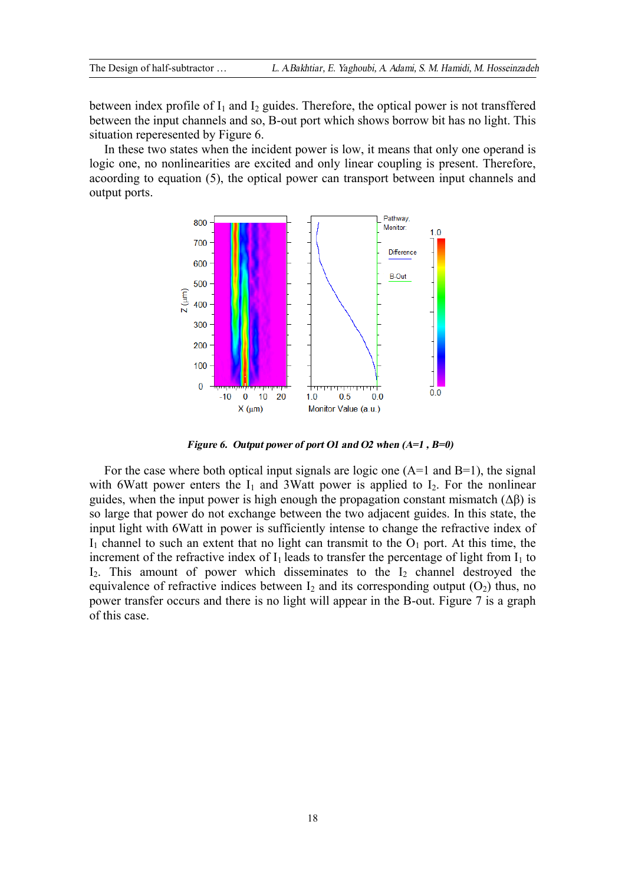between index profile of  $I_1$  and  $I_2$  guides. Therefore, the optical power is not transffered between the input channels and so, B-out port which shows borrow bit has no light. This situation reperesented by Figure 6.

In these two states when the incident power is low, it means that only one operand is logic one, no nonlinearities are excited and only linear coupling is present. Therefore, acoording to equation (5), the optical power can transport between input channels and output ports.



*Figure 6. Output power of port O1 and O2 when (A=1 , B=0)* 

For the case where both optical input signals are logic one  $(A=1)$  and  $B=1$ ), the signal with 6Watt power enters the  $I_1$  and 3Watt power is applied to  $I_2$ . For the nonlinear guides, when the input power is high enough the propagation constant mismatch  $(\Delta \beta)$  is so large that power do not exchange between the two adjacent guides. In this state, the input light with 6Watt in power is sufficiently intense to change the refractive index of  $I_1$  channel to such an extent that no light can transmit to the  $O_1$  port. At this time, the increment of the refractive index of  $I_1$  leads to transfer the percentage of light from  $I_1$  to  $I_2$ . This amount of power which disseminates to the  $I_2$  channel destroyed the equivalence of refractive indices between  $I_2$  and its corresponding output  $(O_2)$  thus, no power transfer occurs and there is no light will appear in the B-out. Figure 7 is a graph of this case.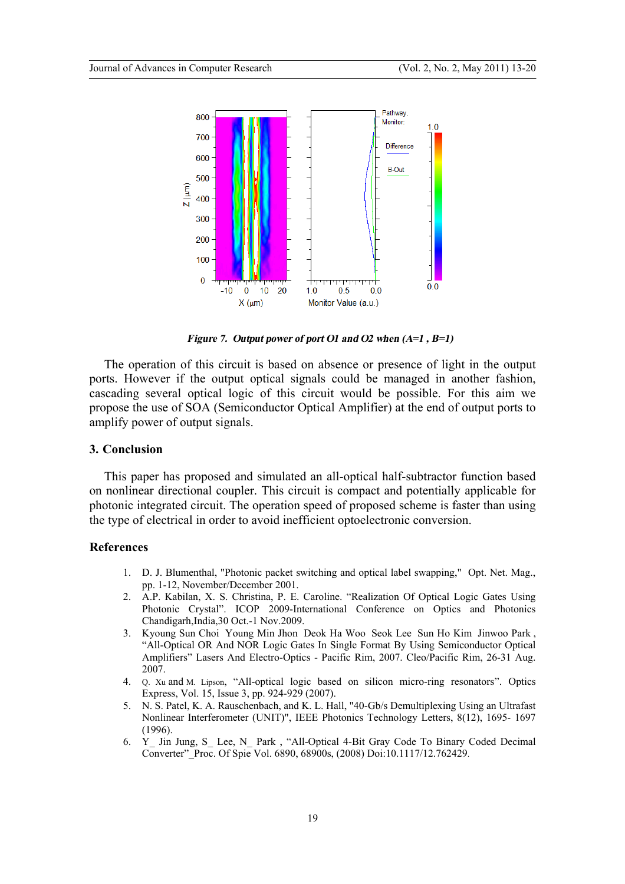

*Figure 7. Output power of port O1 and O2 when (A=1 , B=1)* 

The operation of this circuit is based on absence or presence of light in the output ports. However if the output optical signals could be managed in another fashion, cascading several optical logic of this circuit would be possible. For this aim we propose the use of SOA (Semiconductor Optical Amplifier) at the end of output ports to amplify power of output signals.

# **3. Conclusion**

This paper has proposed and simulated an all-optical half-subtractor function based on nonlinear directional coupler. This circuit is compact and potentially applicable for photonic integrated circuit. The operation speed of proposed scheme is faster than using the type of electrical in order to avoid inefficient optoelectronic conversion.

#### **References**

- 1. D. J. Blumenthal, "Photonic packet switching and optical label swapping," Opt. Net. Mag., pp. 1-12, November/December 2001.
- 2. A.P. Kabilan, X. S. Christina, P. E. Caroline. "Realization Of Optical Logic Gates Using Photonic Crystal". ICOP 2009-International Conference on Optics and Photonics Chandigarh,India,30 Oct.-1 Nov.2009.
- 3. Kyoung Sun Choi Young Min Jhon Deok Ha Woo Seok Lee Sun Ho Kim Jinwoo Park , "All-Optical OR And NOR Logic Gates In Single Format By Using Semiconductor Optical Amplifiers" Lasers And Electro-Optics - Pacific Rim, 2007. Cleo/Pacific Rim, 26-31 Aug. 2007.
- 4. Q. Xu and M. Lipson, "All-optical logic based on silicon micro-ring resonators". Optics Express, Vol. 15, Issue 3, pp. 924-929 (2007).
- 5. N. S. Patel, K. A. Rauschenbach, and K. L. Hall, "40-Gb/s Demultiplexing Using an Ultrafast Nonlinear Interferometer (UNIT)", IEEE Photonics Technology Letters, 8(12), 1695- 1697 (1996).
- 6. Y\_ Jin Jung, S\_ Lee, N\_ Park , "All-Optical 4-Bit Gray Code To Binary Coded Decimal Converter"\_Proc. Of Spie Vol. 6890, 68900s, (2008) Doi:10.1117/12.762429.